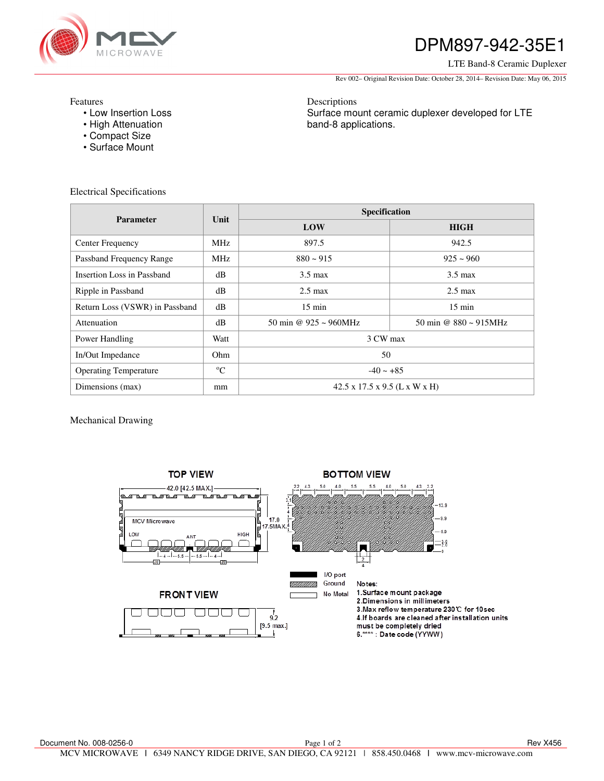

# DPM897-942-35E1

### LTE Band-8 Ceramic Duplexer

Rev 002– Original Revision Date: October 28, 2014– Revision Date: May 06, 2015

Features

- Low Insertion Loss
- High Attenuation
- Compact Size
- Surface Mount

Descriptions Surface mount ceramic duplexer developed for LTE band-8 applications.

Electrical Specifications

| <b>Parameter</b>               | Unit            | Specification                             |                                    |
|--------------------------------|-----------------|-------------------------------------------|------------------------------------|
|                                |                 | LOW                                       | <b>HIGH</b>                        |
| Center Frequency               | MH <sub>z</sub> | 897.5                                     | 942.5                              |
| Passband Frequency Range       | <b>MHz</b>      | $880 - 915$                               | $925 \sim 960$                     |
| Insertion Loss in Passband     | dB              | $3.5 \text{ max}$                         | $3.5 \text{ max}$                  |
| Ripple in Passband             | dB              | $2.5 \text{ max}$                         | $2.5 \text{ max}$                  |
| Return Loss (VSWR) in Passband | dB              | $15 \text{ min}$                          | $15 \text{ min}$                   |
| Attenuation                    | dB              | 50 min @ $925 \approx 960 \text{MHz}$     | 50 min @ $880 \sim 915 \text{MHz}$ |
| Power Handling                 | Watt            | 3 CW max                                  |                                    |
| In/Out Impedance               | Ohm.            | 50                                        |                                    |
| <b>Operating Temperature</b>   | $^{\circ}C$     | $-40 \sim +85$                            |                                    |
| Dimensions (max)               | mm              | $42.5 \times 17.5 \times 9.5$ (L x W x H) |                                    |

Mechanical Drawing